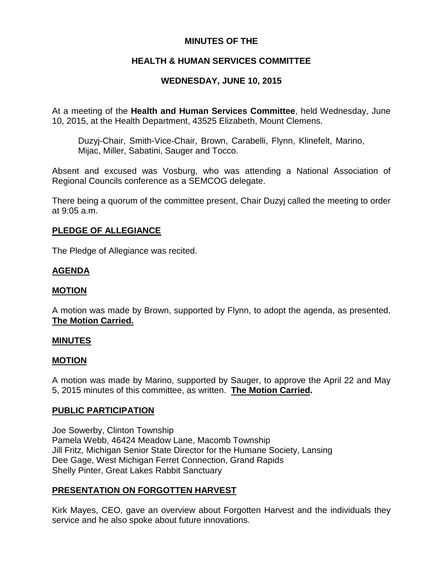# **MINUTES OF THE**

# **HEALTH & HUMAN SERVICES COMMITTEE**

# **WEDNESDAY, JUNE 10, 2015**

At a meeting of the **Health and Human Services Committee**, held Wednesday, June 10, 2015, at the Health Department, 43525 Elizabeth, Mount Clemens.

Duzyj-Chair, Smith-Vice-Chair, Brown, Carabelli, Flynn, Klinefelt, Marino, Mijac, Miller, Sabatini, Sauger and Tocco.

Absent and excused was Vosburg, who was attending a National Association of Regional Councils conference as a SEMCOG delegate.

There being a quorum of the committee present, Chair Duzyj called the meeting to order at 9:05 a.m.

## **PLEDGE OF ALLEGIANCE**

The Pledge of Allegiance was recited.

## **AGENDA**

## **MOTION**

A motion was made by Brown, supported by Flynn, to adopt the agenda, as presented. **The Motion Carried.**

## **MINUTES**

## **MOTION**

A motion was made by Marino, supported by Sauger, to approve the April 22 and May 5, 2015 minutes of this committee, as written. **The Motion Carried.**

## **PUBLIC PARTICIPATION**

Joe Sowerby, Clinton Township Pamela Webb, 46424 Meadow Lane, Macomb Township Jill Fritz, Michigan Senior State Director for the Humane Society, Lansing Dee Gage, West Michigan Ferret Connection, Grand Rapids Shelly Pinter, Great Lakes Rabbit Sanctuary

## **PRESENTATION ON FORGOTTEN HARVEST**

Kirk Mayes, CEO, gave an overview about Forgotten Harvest and the individuals they service and he also spoke about future innovations.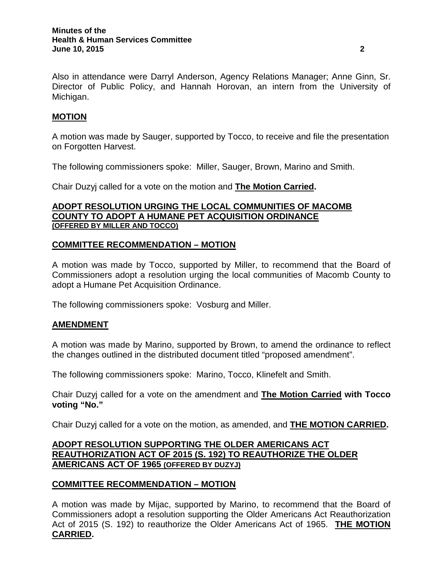Also in attendance were Darryl Anderson, Agency Relations Manager; Anne Ginn, Sr. Director of Public Policy, and Hannah Horovan, an intern from the University of Michigan.

# **MOTION**

A motion was made by Sauger, supported by Tocco, to receive and file the presentation on Forgotten Harvest.

The following commissioners spoke: Miller, Sauger, Brown, Marino and Smith.

Chair Duzyj called for a vote on the motion and **The Motion Carried.**

## **ADOPT RESOLUTION URGING THE LOCAL COMMUNITIES OF MACOMB COUNTY TO ADOPT A HUMANE PET ACQUISITION ORDINANCE (OFFERED BY MILLER AND TOCCO)**

## **COMMITTEE RECOMMENDATION – MOTION**

A motion was made by Tocco, supported by Miller, to recommend that the Board of Commissioners adopt a resolution urging the local communities of Macomb County to adopt a Humane Pet Acquisition Ordinance.

The following commissioners spoke: Vosburg and Miller.

## **AMENDMENT**

A motion was made by Marino, supported by Brown, to amend the ordinance to reflect the changes outlined in the distributed document titled "proposed amendment".

The following commissioners spoke: Marino, Tocco, Klinefelt and Smith.

Chair Duzyj called for a vote on the amendment and **The Motion Carried with Tocco voting "No."**

Chair Duzyj called for a vote on the motion, as amended, and **THE MOTION CARRIED.**

## **ADOPT RESOLUTION SUPPORTING THE OLDER AMERICANS ACT REAUTHORIZATION ACT OF 2015 (S. 192) TO REAUTHORIZE THE OLDER AMERICANS ACT OF 1965 (OFFERED BY DUZYJ)**

## **COMMITTEE RECOMMENDATION – MOTION**

A motion was made by Mijac, supported by Marino, to recommend that the Board of Commissioners adopt a resolution supporting the Older Americans Act Reauthorization Act of 2015 (S. 192) to reauthorize the Older Americans Act of 1965. **THE MOTION CARRIED.**